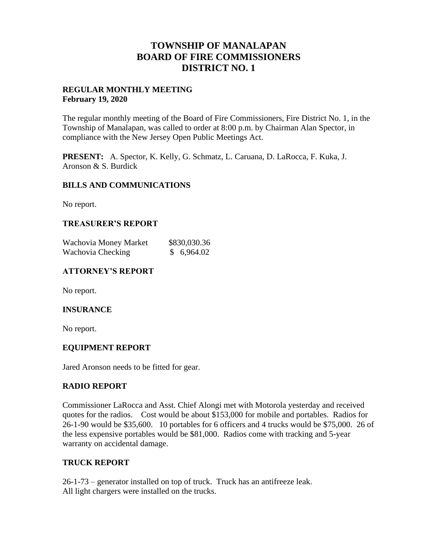# **TOWNSHIP OF MANALAPAN BOARD OF FIRE COMMISSIONERS DISTRICT NO. 1**

### **REGULAR MONTHLY MEETING February 19, 2020**

The regular monthly meeting of the Board of Fire Commissioners, Fire District No. 1, in the Township of Manalapan, was called to order at 8:00 p.m. by Chairman Alan Spector, in compliance with the New Jersey Open Public Meetings Act.

**PRESENT:** A. Spector, K. Kelly, G. Schmatz, L. Caruana, D. LaRocca, F. Kuka, J. Aronson & S. Burdick

### **BILLS AND COMMUNICATIONS**

No report.

### **TREASURER'S REPORT**

| Wachovia Money Market | \$830,030.36 |
|-----------------------|--------------|
| Wachovia Checking     | \$6,964.02   |

#### **ATTORNEY'S REPORT**

No report.

#### **INSURANCE**

No report.

### **EQUIPMENT REPORT**

Jared Aronson needs to be fitted for gear.

#### **RADIO REPORT**

Commissioner LaRocca and Asst. Chief Alongi met with Motorola yesterday and received quotes for the radios. Cost would be about \$153,000 for mobile and portables. Radios for 26-1-90 would be \$35,600. 10 portables for 6 officers and 4 trucks would be \$75,000. 26 of the less expensive portables would be \$81,000. Radios come with tracking and 5-year warranty on accidental damage.

## **TRUCK REPORT**

26-1-73 – generator installed on top of truck. Truck has an antifreeze leak. All light chargers were installed on the trucks.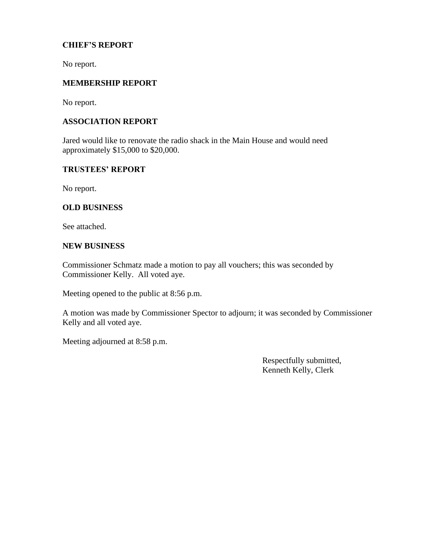# **CHIEF'S REPORT**

No report.

# **MEMBERSHIP REPORT**

No report.

# **ASSOCIATION REPORT**

Jared would like to renovate the radio shack in the Main House and would need approximately \$15,000 to \$20,000.

# **TRUSTEES' REPORT**

No report.

# **OLD BUSINESS**

See attached.

### **NEW BUSINESS**

Commissioner Schmatz made a motion to pay all vouchers; this was seconded by Commissioner Kelly. All voted aye.

Meeting opened to the public at 8:56 p.m.

A motion was made by Commissioner Spector to adjourn; it was seconded by Commissioner Kelly and all voted aye.

Meeting adjourned at 8:58 p.m.

 Respectfully submitted, Kenneth Kelly, Clerk